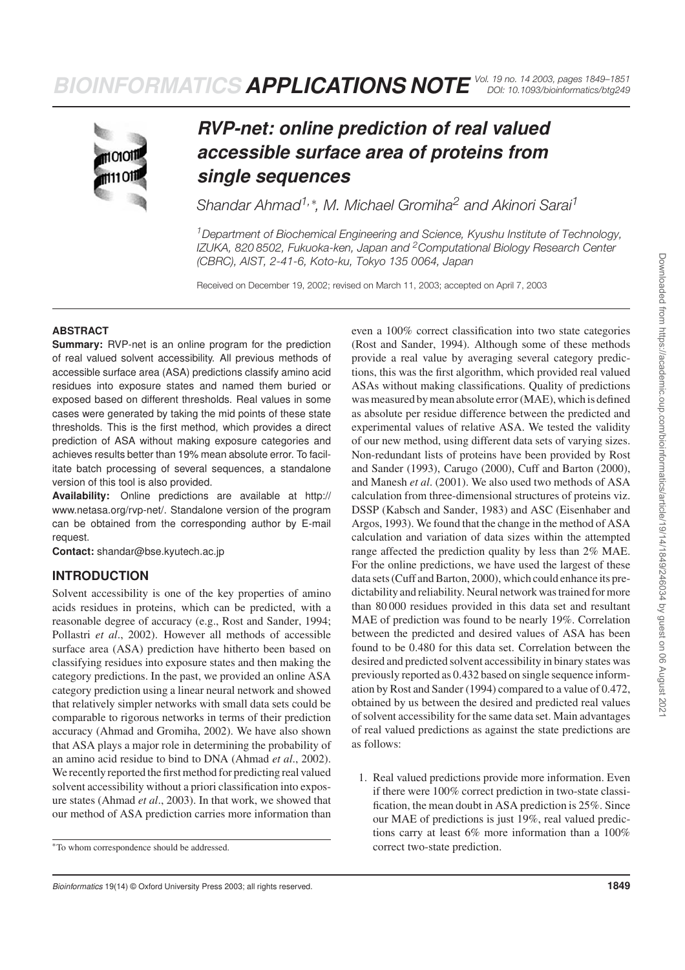

# *RVP-net: online prediction of real valued accessible surface area of proteins from single sequences*

*Shandar Ahmad1,*<sup>∗</sup> *, M. Michael Gromiha<sup>2</sup> and Akinori Sarai<sup>1</sup>*

*<sup>1</sup>Department of Biochemical Engineering and Science, Kyushu Institute of Technology, IZUKA, 820 8502, Fukuoka-ken, Japan and <sup>2</sup>Computational Biology Research Center (CBRC), AIST, 2-41-6, Koto-ku, Tokyo 135 0064, Japan*

Received on December 19, 2002; revised on March 11, 2003; accepted on April 7, 2003

#### **ABSTRACT**

**Summary:** RVP-net is an online program for the prediction of real valued solvent accessibility. All previous methods of accessible surface area (ASA) predictions classify amino acid residues into exposure states and named them buried or exposed based on different thresholds. Real values in some cases were generated by taking the mid points of these state thresholds. This is the first method, which provides a direct prediction of ASA without making exposure categories and achieves results better than 19% mean absolute error. To facilitate batch processing of several sequences, a standalone version of this tool is also provided.

**Availability:** Online predictions are available at http:// www.netasa.org/rvp-net/. Standalone version of the program can be obtained from the corresponding author by E-mail request.

**Contact:** shandar@bse.kyutech.ac.jp

### **INTRODUCTION**

Solvent accessibility is one of the key properties of amino acids residues in proteins, which can be predicted, with a reasonable degree of accuracy (e.g., Rost and Sander, 1994; Pollastri *et al*., 2002). However all methods of accessible surface area (ASA) prediction have hitherto been based on classifying residues into exposure states and then making the category predictions. In the past, we provided an online ASA category prediction using a linear neural network and showed that relatively simpler networks with small data sets could be comparable to rigorous networks in terms of their prediction accuracy (Ahmad and Gromiha, 2002). We have also shown that ASA plays a major role in determining the probability of an amino acid residue to bind to DNA (Ahmad *et al*., 2002). We recently reported the first method for predicting real valued solvent accessibility without a priori classification into exposure states (Ahmad *et al*., 2003). In that work, we showed that our method of ASA prediction carries more information than

Bioinformatics 19(14) © Oxford University Press 2003; all rights reserved. **1849** and the state of the state of the state of the state of the state of the state of the state of the state of the state of the state of the st

even a 100% correct classification into two state categories (Rost and Sander, 1994). Although some of these methods provide a real value by averaging several category predictions, this was the first algorithm, which provided real valued ASAs without making classifications. Quality of predictions was measured by mean absolute error (MAE), which is defined as absolute per residue difference between the predicted and experimental values of relative ASA. We tested the validity of our new method, using different data sets of varying sizes. Non-redundant lists of proteins have been provided by Rost and Sander (1993), Carugo (2000), Cuff and Barton (2000), and Manesh *et al*. (2001). We also used two methods of ASA calculation from three-dimensional structures of proteins viz. DSSP (Kabsch and Sander, 1983) and ASC (Eisenhaber and Argos, 1993). We found that the change in the method of ASA calculation and variation of data sizes within the attempted range affected the prediction quality by less than 2% MAE. For the online predictions, we have used the largest of these data sets (Cuff and Barton, 2000), which could enhance its predictability and reliability. Neural network was trained for more than 80 000 residues provided in this data set and resultant MAE of prediction was found to be nearly 19%. Correlation between the predicted and desired values of ASA has been found to be 0.480 for this data set. Correlation between the desired and predicted solvent accessibility in binary states was previously reported as 0.432 based on single sequence information by Rost and Sander (1994) compared to a value of 0.472, obtained by us between the desired and predicted real values of solvent accessibility for the same data set. Main advantages of real valued predictions as against the state predictions are as follows:

1. Real valued predictions provide more information. Even if there were 100% correct prediction in two-state classification, the mean doubt in ASA prediction is 25%. Since our MAE of predictions is just 19%, real valued predictions carry at least 6% more information than a 100% correct two-state prediction.

<sup>∗</sup>To whom correspondence should be addressed.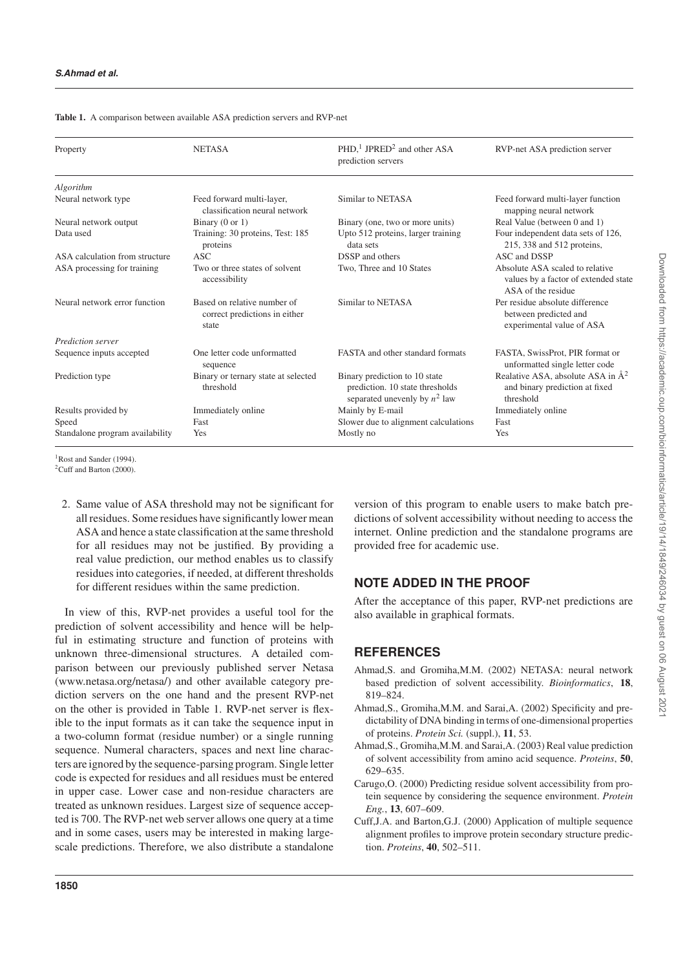| Property                        | <b>NETASA</b>                                                         | $PHD1$ JPRED <sup>2</sup> and other ASA<br>prediction servers                                       | RVP-net ASA prediction server                                                                 |
|---------------------------------|-----------------------------------------------------------------------|-----------------------------------------------------------------------------------------------------|-----------------------------------------------------------------------------------------------|
| Algorithm                       |                                                                       |                                                                                                     |                                                                                               |
| Neural network type             | Feed forward multi-layer,<br>classification neural network            | Similar to NETASA                                                                                   | Feed forward multi-layer function<br>mapping neural network                                   |
| Neural network output           | Binary $(0 \text{ or } 1)$                                            | Binary (one, two or more units)                                                                     | Real Value (between 0 and 1)                                                                  |
| Data used                       | Training: 30 proteins, Test: 185<br>proteins                          | Upto 512 proteins, larger training<br>data sets                                                     | Four independent data sets of 126,<br>215, 338 and 512 proteins,                              |
| ASA calculation from structure  | ASC                                                                   | DSSP and others                                                                                     | ASC and DSSP                                                                                  |
| ASA processing for training     | Two or three states of solvent<br>accessibility                       | Two, Three and 10 States                                                                            | Absolute ASA scaled to relative<br>values by a factor of extended state<br>ASA of the residue |
| Neural network error function   | Based on relative number of<br>correct predictions in either<br>state | Similar to NETASA                                                                                   | Per residue absolute difference<br>between predicted and<br>experimental value of ASA         |
| Prediction server               |                                                                       |                                                                                                     |                                                                                               |
| Sequence inputs accepted        | One letter code unformatted<br>sequence                               | <b>FASTA</b> and other standard formats                                                             | FASTA, SwissProt, PIR format or<br>unformatted single letter code                             |
| Prediction type                 | Binary or ternary state at selected<br>threshold                      | Binary prediction to 10 state<br>prediction. 10 state thresholds<br>separated unevenly by $n^2$ law | Realative ASA, absolute ASA in $A^2$<br>and binary prediction at fixed<br>threshold           |
| Results provided by             | Immediately online                                                    | Mainly by E-mail                                                                                    | Immediately online                                                                            |
| Speed                           | Fast                                                                  | Slower due to alignment calculations                                                                | Fast                                                                                          |
| Standalone program availability | Yes                                                                   | Mostly no                                                                                           | Yes                                                                                           |
|                                 |                                                                       |                                                                                                     |                                                                                               |

**Table 1.** A comparison between available ASA prediction servers and RVP-net

<sup>1</sup>Rost and Sander (1994).

<sup>2</sup>Cuff and Barton (2000).

2. Same value of ASA threshold may not be significant for all residues. Some residues have significantly lower mean ASA and hence a state classification at the same threshold for all residues may not be justified. By providing a real value prediction, our method enables us to classify residues into categories, if needed, at different thresholds for different residues within the same prediction.

In view of this, RVP-net provides a useful tool for the prediction of solvent accessibility and hence will be helpful in estimating structure and function of proteins with unknown three-dimensional structures. A detailed comparison between our previously published server Netasa (www.netasa.org/netasa/) and other available category prediction servers on the one hand and the present RVP-net on the other is provided in Table 1. RVP-net server is flexible to the input formats as it can take the sequence input in a two-column format (residue number) or a single running sequence. Numeral characters, spaces and next line characters are ignored by the sequence-parsing program. Single letter code is expected for residues and all residues must be entered in upper case. Lower case and non-residue characters are treated as unknown residues. Largest size of sequence accepted is 700. The RVP-net web server allows one query at a time and in some cases, users may be interested in making largescale predictions. Therefore, we also distribute a standalone

version of this program to enable users to make batch predictions of solvent accessibility without needing to access the internet. Online prediction and the standalone programs are provided free for academic use.

## **NOTE ADDED IN THE PROOF**

After the acceptance of this paper, RVP-net predictions are also available in graphical formats.

### **REFERENCES**

- Ahmad,S. and Gromiha,M.M. (2002) NETASA: neural network based prediction of solvent accessibility. *Bioinformatics*, **18**, 819–824.
- Ahmad,S., Gromiha,M.M. and Sarai,A. (2002) Specificity and predictability of DNA binding in terms of one-dimensional properties of proteins. *Protein Sci.* (suppl.), **11**, 53.
- Ahmad,S., Gromiha,M.M. and Sarai,A. (2003) Real value prediction of solvent accessibility from amino acid sequence. *Proteins*, **50**, 629–635.
- Carugo,O. (2000) Predicting residue solvent accessibility from protein sequence by considering the sequence environment. *Protein Eng.*, **13**, 607–609.
- Cuff,J.A. and Barton,G.J. (2000) Application of multiple sequence alignment profiles to improve protein secondary structure prediction. *Proteins*, **40**, 502–511.